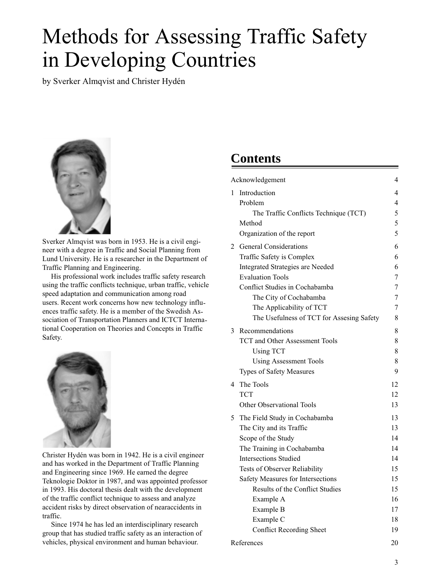# Methods for Assessing Traffic Safety in Developing Countries

*by Sverker Almqvist and Christer Hydén*



*Sverker Almqvist was born in 1953. He is a civil engineer with a degree in Traffic and Social Planning from Lund University. He is a researcher in the Department of Traffic Planning and Engineering.*

*His professional work includes traffic safety research using the traffic conflicts technique, urban traffic, vehicle speed adaptation and communication among road users. Recent work concerns how new technology influences traffic safety. He is a member of the Swedish Association of Transportation Planners and ICTCT International Cooperation on Theories and Concepts in Traffic Safety.*



*Christer Hydén was born in 1942. He is a civil engineer and has worked in the Department of Traffic Planning and Engineering since 1969. He earned the degree Teknologie Doktor in 1987, and was appointed professor in 1993. His doctoral thesis dealt with the development of the traffic conflict technique to assess and analyze accident risks by direct observation of nearaccidents in traffic.*

*Since 1974 he has led an interdisciplinary research group that has studied traffic safety as an interaction of vehicles, physical environment and human behaviour.*

## **Contents**

| Acknowledgement |                                           |    |  |  |  |
|-----------------|-------------------------------------------|----|--|--|--|
| 1               | Introduction                              | 4  |  |  |  |
|                 | Problem                                   | 4  |  |  |  |
|                 | The Traffic Conflicts Technique (TCT)     | 5  |  |  |  |
|                 | Method                                    | 5  |  |  |  |
|                 | Organization of the report                | 5  |  |  |  |
|                 | 2 General Considerations                  | 6  |  |  |  |
|                 | Traffic Safety is Complex                 | 6  |  |  |  |
|                 | <b>Integrated Strategies are Needed</b>   | 6  |  |  |  |
|                 | <b>Evaluation Tools</b>                   | 7  |  |  |  |
|                 | Conflict Studies in Cochabamba            | 7  |  |  |  |
|                 | The City of Cochabamba                    | 7  |  |  |  |
|                 | The Applicability of TCT                  | 7  |  |  |  |
|                 | The Usefulness of TCT for Assesing Safety | 8  |  |  |  |
| 3               | Recommendations                           | 8  |  |  |  |
|                 | <b>TCT and Other Assessment Tools</b>     | 8  |  |  |  |
|                 | <b>Using TCT</b>                          | 8  |  |  |  |
|                 | <b>Using Assessment Tools</b>             | 8  |  |  |  |
|                 | Types of Safety Measures                  | 9  |  |  |  |
| 4               | The Tools                                 | 12 |  |  |  |
|                 | <b>TCT</b>                                | 12 |  |  |  |
|                 | <b>Other Observational Tools</b>          | 13 |  |  |  |
| 5               | The Field Study in Cochabamba             | 13 |  |  |  |
|                 | The City and its Traffic                  | 13 |  |  |  |
|                 | Scope of the Study                        | 14 |  |  |  |
|                 | The Training in Cochabamba                | 14 |  |  |  |
|                 | <b>Intersections Studied</b>              | 14 |  |  |  |
|                 | <b>Tests of Observer Reliability</b>      | 15 |  |  |  |
|                 | Safety Measures for Intersections         | 15 |  |  |  |
|                 | Results of the Conflict Studies           | 15 |  |  |  |
|                 | Example A                                 | 16 |  |  |  |
| Example B       |                                           |    |  |  |  |
| Example C       |                                           |    |  |  |  |
|                 | <b>Conflict Recording Sheet</b>           | 19 |  |  |  |
| References      |                                           |    |  |  |  |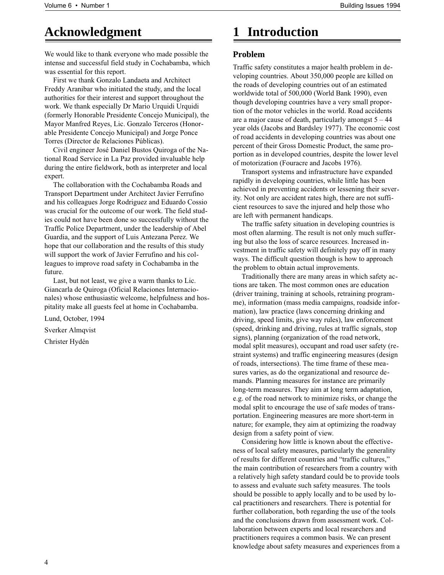## **Acknowledgment**

We would like to thank everyone who made possible the intense and successful field study in Cochabamba, which was essential for this report.

First we thank Gonzalo Landaeta and Architect Freddy Aranibar who initiated the study, and the local authorities for their interest and support throughout the work. We thank especially Dr Mario Urquidi Urquidi (formerly Honorable Presidente Concejo Municipal), the Mayor Manfred Reyes, Lic. Gonzalo Terceros (Honorable Presidente Concejo Municipal) and Jorge Ponce Torres (Director de Relaciones Públicas).

Civil engineer José Daniel Bustos Quiroga of the National Road Service in La Paz provided invaluable help during the entire fieldwork, both as interpreter and local expert.

The collaboration with the Cochabamba Roads and Transport Department under Architect Javier Ferrufino and his colleagues Jorge Rodriguez and Eduardo Cossio was crucial for the outcome of our work. The field studies could not have been done so successfully without the Traffic Police Department, under the leadership of Abel Guardia, and the support of Luis Antezana Perez. We hope that our collaboration and the results of this study will support the work of Javier Ferrufino and his colleagues to improve road safety in Cochabamba in the future.

Last, but not least, we give a warm thanks to Lic. Giancarla de Quiroga (Oficial Relaciones Internacionales) whose enthusiastic welcome, helpfulness and hospitality make all guests feel at home in Cochabamba.

Lund, October, 1994

*Sverker Almqvist Christer Hydén*

## **1 Introduction**

## **Problem**

Traffic safety constitutes a major health problem in developing countries. About 350,000 people are killed on the roads of developing countries out of an estimated worldwide total of 500,000 (World Bank 1990), even though developing countries have a very small proportion of the motor vehicles in the world. Road accidents are a major cause of death, particularly amongst  $5 - 44$ year olds (Jacobs and Bardsley 1977). The economic cost of road accidents in developing countries was about one percent of their Gross Domestic Product, the same proportion as in developed countries, despite the lower level of motorization (Fouracre and Jacobs 1976).

Transport systems and infrastructure have expanded rapidly in developing countries, while little has been achieved in preventing accidents or lessening their severity. Not only are accident rates high, there are not sufficient resources to save the injured and help those who are left with permanent handicaps.

The traffic safety situation in developing countries is most often alarming. The result is not only much suffering but also the loss of scarce resources. Increased investment in traffic safety will definitely pay off in many ways. The difficult question though is how to approach the problem to obtain actual improvements.

Traditionally there are many areas in which safety actions are taken. The most common ones are education (driver training, training at schools, retraining programme), information (mass media campaigns, roadside information), law practice (laws concerning drinking and driving, speed limits, give way rules), law enforcement (speed, drinking and driving, rules at traffic signals, stop signs), planning (organization of the road network, modal split measures), occupant and road user safety (restraint systems) and traffic engineering measures (design of roads, intersections). The time frame of these measures varies, as do the organizational and resource demands. Planning measures for instance are primarily long-term measures. They aim at long term adaptation, e.g. of the road network to minimize risks, or change the modal split to encourage the use of safe modes of transportation. Engineering measures are more short-term in nature; for example, they aim at optimizing the roadway design from a safety point of view.

Considering how little is known about the effectiveness of local safety measures, particularly the generality of results for different countries and "traffic cultures," the main contribution of researchers from a country with a relatively high safety standard could be to provide tools to assess and evaluate such safety measures. The tools should be possible to apply locally and to be used by local practitioners and researchers. There is potential for further collaboration, both regarding the use of the tools and the conclusions drawn from assessment work. Collaboration between experts and local researchers and practitioners requires a common basis. We can present knowledge about safety measures and experiences from a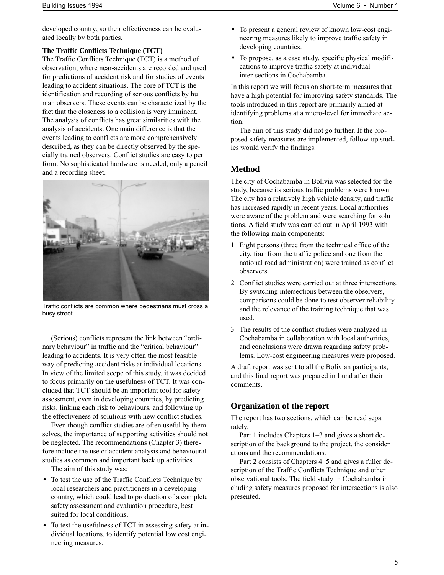developed country, so their effectiveness can be evaluated locally by both parties.

## **The Traffic Conflicts Technique (TCT)**

The Traffic Conflicts Technique (TCT) is a method of observation, where near-accidents are recorded and used for predictions of accident risk and for studies of events leading to accident situations. The core of TCT is the identification and recording of serious conflicts by human observers. These events can be characterized by the fact that the closeness to a collision is very imminent. The analysis of conflicts has great similarities with the analysis of accidents. One main difference is that the events leading to conflicts are more comprehensively described, as they can be directly observed by the specially trained observers. Conflict studies are easy to perform. No sophisticated hardware is needed, only a pencil and a recording sheet.



*Traffic conflicts are common where pedestrians must cross a busy street.*

(Serious) conflicts represent the link between "ordinary behaviour" in traffic and the "critical behaviour" leading to accidents. It is very often the most feasible way of predicting accident risks at individual locations. In view of the limited scope of this study, it was decided to focus primarily on the usefulness of TCT. It was concluded that TCT should be an important tool for safety assessment, even in developing countries, by predicting risks, linking each risk to behaviours, and following up the effectiveness of solutions with new conflict studies.

Even though conflict studies are often useful by themselves, the importance of supporting activities should not be neglected. The recommendations (Chapter 3) therefore include the use of accident analysis and behavioural studies as common and important back up activities.

The aim of this study was:

- To test the use of the Traffic Conflicts Technique by local researchers and practitioners in a developing country, which could lead to production of a complete safety assessment and evaluation procedure, best suited for local conditions.
- To test the usefulness of TCT in assessing safety at individual locations, to identify potential low cost engineering measures.
- To present a general review of known low-cost engineering measures likely to improve traffic safety in developing countries.
- To propose, as a case study, specific physical modifications to improve traffic safety at individual inter-sections in Cochabamba.

In this report we will focus on short-term measures that have a high potential for improving safety standards. The tools introduced in this report are primarily aimed at identifying problems at a micro-level for immediate action.

The aim of this study did not go further. If the proposed safety measures are implemented, follow-up studies would verify the findings.

## **Method**

The city of Cochabamba in Bolivia was selected for the study, because its serious traffic problems were known. The city has a relatively high vehicle density, and traffic has increased rapidly in recent years. Local authorities were aware of the problem and were searching for solutions. A field study was carried out in April 1993 with the following main components:

- 1 Eight persons (three from the technical office of the city, four from the traffic police and one from the national road administration) were trained as conflict observers.
- 2 Conflict studies were carried out at three intersections. By switching intersections between the observers, comparisons could be done to test observer reliability and the relevance of the training technique that was used.
- 3 The results of the conflict studies were analyzed in Cochabamba in collaboration with local authorities, and conclusions were drawn regarding safety problems. Low-cost engineering measures were proposed.

A draft report was sent to all the Bolivian participants, and this final report was prepared in Lund after their comments.

## **Organization of the report**

The report has two sections, which can be read separately.

Part 1 includes Chapters 1–3 and gives a short description of the background to the project, the considerations and the recommendations.

Part 2 consists of Chapters 4–5 and gives a fuller description of the Traffic Conflicts Technique and other observational tools. The field study in Cochabamba including safety measures proposed for intersections is also presented.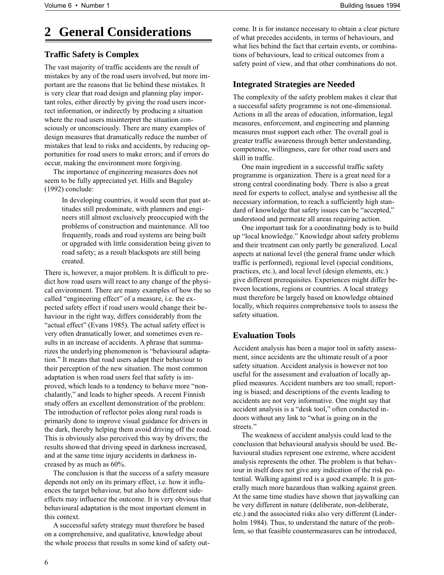## **2 General Considerations**

## **Traffic Safety is Complex**

The vast majority of traffic accidents are the result of mistakes by any of the road users involved, but more important are the reasons that lie behind these mistakes. It is very clear that road design and planning play important roles, either directly by giving the road users incorrect information, or indirectly by producing a situation where the road users misinterpret the situation consciously or unconsciously. There are many examples of design measures that dramatically reduce the number of mistakes that lead to risks and accidents, by reducing opportunities for road users to make errors; and if errors do occur, making the environment more forgiving.

The importance of engineering measures does not seem to be fully appreciated yet. Hills and Baguley (1992) conclude:

> *In developing countries, it would seem that past attitudes still predominate, with planners and engineers still almost exclusively preoccupied with the problems of construction and maintenance. All too frequently, roads and road systems are being built or upgraded with little consideration being given to road safety; as a result blackspots are still being created.*

There is, however, a major problem. It is difficult to predict how road users will react to any change of the physical environment. There are many examples of how the so called "engineering effect" of a measure, i.e. the expected safety effect if road users would change their behaviour in the right way, differs considerably from the "actual effect" (Evans 1985). The actual safety effect is very often dramatically lower, and sometimes even results in an increase of accidents. A phrase that summarizes the underlying phenomenon is "behavioural adaptation." It means that road users adapt their behaviour to their perception of the new situation. The most common adaptation is when road users feel that safety is improved, which leads to a tendency to behave more "nonchalantly," and leads to higher speeds. A recent Finnish study offers an excellent demonstration of the problem: The introduction of reflector poles along rural roads is primarily done to improve visual guidance for drivers in the dark, thereby helping them avoid driving off the road. This is obviously also perceived this way by drivers; the results showed that driving speed in darkness increased, and at the same time injury accidents in darkness increased by as much as 60%.

The conclusion is that the success of a safety measure depends not only on its primary effect, i.e. how it influences the target behaviour, but also how different sideeffects may influence the outcome. It is very obvious that behavioural adaptation is the most important element in this context.

A successful safety strategy must therefore be based on a comprehensive, and qualitative, knowledge about the whole process that results in some kind of safety outcome. It is for instance necessary to obtain a clear picture of what precedes accidents, in terms of behaviours, and what lies behind the fact that certain events, or combinations of behaviours, lead to critical outcomes from a safety point of view, and that other combinations do not.

## **Integrated Strategies are Needed**

The complexity of the safety problem makes it clear that a successful safety programme is not one-dimensional. Actions in all the areas of education, information, legal measures, enforcement, and engineering and planning measures must support each other. The overall goal is greater traffic awareness through better understanding, competence, willingness, care for other road users and skill in traffic.

One main ingredient in a successful traffic safety programme is organization. There is a great need for a strong central coordinating body. There is also a great need for experts to collect, analyse and synthesise all the necessary information, to reach a sufficiently high standard of knowledge that safety issues can be "accepted," understood and permeate all areas requiring action.

One important task for a coordinating body is to build up "local knowledge." Knowledge about safety problems and their treatment can only partly be generalized. Local aspects at national level (the general frame under which traffic is performed), regional level (special conditions, practices, etc.), and local level (design elements, etc.) give different prerequisites. Experiences might differ between locations, regions or countries. A local strategy must therefore be largely based on knowledge obtained locally, which requires comprehensive tools to assess the safety situation.

## **Evaluation Tools**

Accident analysis has been a major tool in safety assessment, since accidents are the ultimate result of a poor safety situation. Accident analysis is however not too useful for the assessment and evaluation of locally applied measures. Accident numbers are too small; reporting is biased; and descriptions of the events leading to accidents are not very informative. One might say that accident analysis is a "desk tool," often conducted indoors without any link to "what is going on in the streets."

The weakness of accident analysis could lead to the conclusion that behavioural analysis should be used. Behavioural studies represent one extreme, where accident analysis represents the other. The problem is that behaviour in itself does not give any indication of the risk potential. Walking against red is a good example. It is generally much more hazardous than walking against green. At the same time studies have shown that jaywalking can be very different in nature (deliberate, non-deliberate, etc.) and the associated risks also very different (Linderholm 1984). Thus, to understand the nature of the problem, so that feasible countermeasures can be introduced,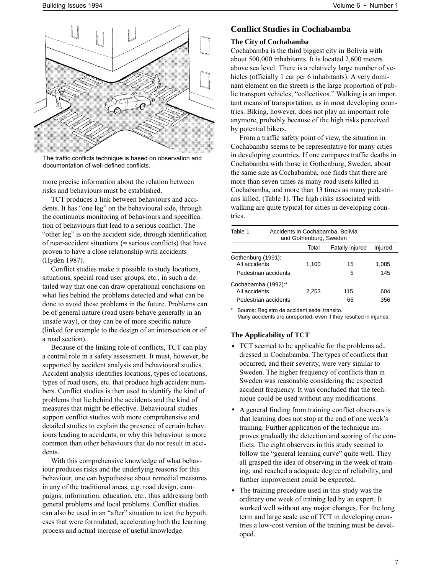

*The traffic conflicts technique is based on observation and documentation of well defined conflicts.*

more precise information about the relation between risks and behaviours must be established.

TCT produces a link between behaviours and accidents. It has "one leg" on the behavioural side, through the continuous monitoring of behaviours and specification of behaviours that lead to a serious conflict. The "other leg" is on the accident side, through identification of near-accident situations (= serious conflicts) that have proven to have a close relationship with accidents (Hydén 1987).

Conflict studies make it possible to study locations, situations, special road user groups, etc., in such a detailed way that one can draw operational conclusions on what lies behind the problems detected and what can be done to avoid these problems in the future. Problems can be of general nature (road users behave generally in an unsafe way), or they can be of more specific nature (linked for example to the design of an intersection or of a road section).

Because of the linking role of conflicts, TCT can play a central role in a safety assessment. It must, however, be supported by accident analysis and behavioural studies. Accident analysis identifies locations, types of locations, types of road users, etc. that produce high accident numbers. Conflict studies is then used to identify the kind of problems that lie behind the accidents and the kind of measures that might be effective. Behavioural studies support conflict studies with more comprehensive and detailed studies to explain the presence of certain behaviours leading to accidents, or why this behaviour is more common than other behaviours that do not result in accidents.

With this comprehensive knowledge of what behaviour produces risks and the underlying reasons for this behaviour, one can hypothesise about remedial measures in any of the traditional areas, e.g. road design, campaigns, information, education, etc., thus addressing both general problems and local problems. Conflict studies can also be used in an "after" situation to test the hypotheses that were formulated, accelerating both the learning process and actual increase of useful knowledge.

## **Conflict Studies in Cochabamba**

#### **The City of Cochabamba**

Cochabamba is the third biggest city in Bolivia with about 500,000 inhabitants. It is located 2,600 meters above sea level. There is a relatively large number of vehicles (officially 1 car per 6 inhabitants). A very dominant element on the streets is the large proportion of public transport vehicles, "collectivos." Walking is an important means of transportation, as in most developing countries. Biking, however, does not play an important role anymore, probably because of the high risks perceived by potential bikers.

From a traffic safety point of view, the situation in Cochabamba seems to be representative for many cities in developing countries. If one compares traffic deaths in Cochabamba with those in Gothenburg, Sweden, about the same size as Cochabamba, one finds that there are more than seven times as many road users killed in Cochabamba, and more than 13 times as many pedestrians killed. (Table 1). The high risks associated with walking are quite typical for cities in developing countries.

| Table 1                                                      |  | Accidents in Cochabamba, Bolivia<br>and Gothenburg, Sweden |                        |              |  |  |  |
|--------------------------------------------------------------|--|------------------------------------------------------------|------------------------|--------------|--|--|--|
|                                                              |  | Total                                                      | <b>Fatally injured</b> | Injured      |  |  |  |
| Gothenburg (1991):<br>All accidents<br>Pedestrian accidents  |  | 1,100                                                      | 15<br>5                | 1,085<br>145 |  |  |  |
| Cochabamba (1992):*<br>All accidents<br>Pedestrian accidents |  | 2.253                                                      | 115<br>66              | 604<br>356   |  |  |  |

*\* Source: Registro de accident esdel transito. Many accidents are unreported, even if they resulted in injuries.*

#### **The Applicability of TCT**

- TCT seemed to be applicable for the problems addressed in Cochabamba. The types of conflicts that occurred, and their severity, were very similar to Sweden. The higher frequency of conflicts than in Sweden was reasonable considering the expected accident frequency. It was concluded that the technique could be used without any modifications.
- A general finding from training conflict observers is that learning does not stop at the end of one week's training. Further application of the technique improves gradually the detection and scoring of the conflicts. The eight observers in this study seemed to follow the "general learning curve" quite well. They all grasped the idea of observing in the week of training, and reached a adequate degree of reliability, and further improvement could be expected.
- The training procedure used in this study was the ordinary one week of training led by an expert. It worked well without any major changes. For the long term and large scale use of TCT in developing countries a low-cost version of the training must be developed.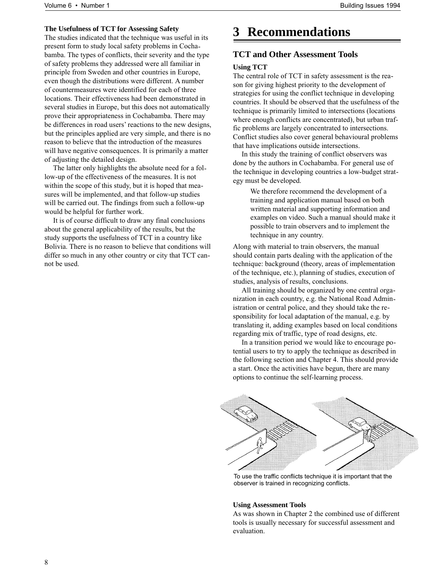### **The Usefulness of TCT for Assessing Safety**

The studies indicated that the technique was useful in its present form to study local safety problems in Cochabamba. The types of conflicts, their severity and the type of safety problems they addressed were all familiar in principle from Sweden and other countries in Europe, even though the distributions were different. A number of countermeasures were identified for each of three locations. Their effectiveness had been demonstrated in several studies in Europe, but this does not automatically prove their appropriateness in Cochabamba. There may be differences in road users' reactions to the new designs, but the principles applied are very simple, and there is no reason to believe that the introduction of the measures will have negative consequences. It is primarily a matter of adjusting the detailed design.

The latter only highlights the absolute need for a follow-up of the effectiveness of the measures. It is not within the scope of this study, but it is hoped that measures will be implemented, and that follow-up studies will be carried out. The findings from such a follow-up would be helpful for further work.

It is of course difficult to draw any final conclusions about the general applicability of the results, but the study supports the usefulness of TCT in a country like Bolivia. There is no reason to believe that conditions will differ so much in any other country or city that TCT cannot be used.

## **3 Recommendations**

## **TCT and Other Assessment Tools**

#### **Using TCT**

The central role of TCT in safety assessment is the reason for giving highest priority to the development of strategies for using the conflict technique in developing countries. It should be observed that the usefulness of the technique is primarily limited to intersections (locations where enough conflicts are concentrated), but urban traffic problems are largely concentrated to intersections. Conflict studies also cover general behavioural problems that have implications outside intersections.

In this study the training of conflict observers was done by the authors in Cochabamba. For general use of the technique in developing countries a low-budget strategy must be developed.

> *We therefore recommend the development of a training and application manual based on both written material and supporting information and examples on video. Such a manual should make it possible to train observers and to implement the technique in any country.*

Along with material to train observers, the manual should contain parts dealing with the application of the technique: background (theory, areas of implementation of the technique, etc.), planning of studies, execution of studies, analysis of results, conclusions.

All training should be organized by one central organization in each country, e.g. the National Road Administration or central police, and they should take the responsibility for local adaptation of the manual, e.g. by translating it, adding examples based on local conditions regarding mix of traffic, type of road designs, etc.

In a transition period we would like to encourage potential users to try to apply the technique as described in the following section and Chapter 4. This should provide a start. Once the activities have begun, there are many options to continue the self-learning process.



*To use the traffic conflicts technique it is important that the observer is trained in recognizing conflicts.*

#### **Using Assessment Tools**

As was shown in Chapter 2 the combined use of different tools is usually necessary for successful assessment and evaluation.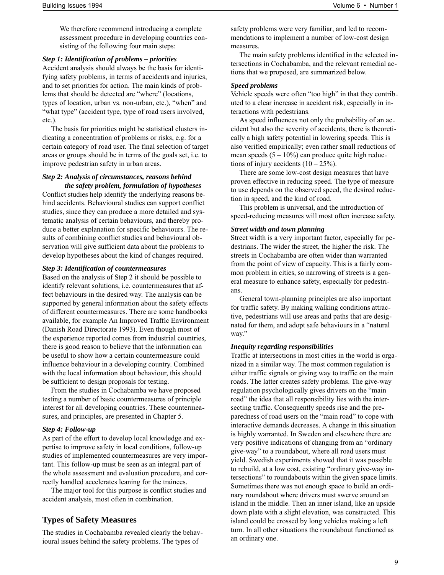*We therefore recommend introducing a complete assessment procedure in developing countries consisting of the following four main steps:*

#### *Step 1: Identification of problems – priorities*

Accident analysis should always be the basis for identifying safety problems, in terms of accidents and injuries, and to set priorities for action. The main kinds of problems that should be detected are "where" (locations, types of location, urban vs. non-urban, etc.), "when" and "what type" (accident type, type of road users involved, etc.).

The basis for priorities might be statistical clusters indicating a concentration of problems or risks, e.g. for a certain category of road user. The final selection of target areas or groups should be in terms of the goals set, i.e. to improve pedestrian safety in urban areas.

#### *Step 2: Analysis of circumstances, reasons behind the safety problem, formulation of hypotheses*

Conflict studies help identify the underlying reasons behind accidents. Behavioural studies can support conflict studies, since they can produce a more detailed and systematic analysis of certain behaviours, and thereby produce a better explanation for specific behaviours. The results of combining conflict studies and behavioural observation will give sufficient data about the problems to develop hypotheses about the kind of changes required.

#### *Step 3: Identification of countermeasures*

Based on the analysis of Step 2 it should be possible to identify relevant solutions, i.e. countermeasures that affect behaviours in the desired way. The analysis can be supported by general information about the safety effects of different countermeasures. There are some handbooks available, for example An Improved Traffic Environment (Danish Road Directorate 1993). Even though most of the experience reported comes from industrial countries, there is good reason to believe that the information can be useful to show how a certain countermeasure could influence behaviour in a developing country. Combined with the local information about behaviour, this should be sufficient to design proposals for testing.

From the studies in Cochabamba we have proposed testing a number of basic countermeasures of principle interest for all developing countries. These countermeasures, and principles, are presented in Chapter 5.

#### *Step 4: Follow-up*

As part of the effort to develop local knowledge and expertise to improve safety in local conditions, follow-up studies of implemented countermeasures are very important. This follow-up must be seen as an integral part of the whole assessment and evaluation procedure, and correctly handled accelerates leaning for the trainees.

The major tool for this purpose is conflict studies and accident analysis, most often in combination.

### **Types of Safety Measures**

The studies in Cochabamba revealed clearly the behavioural issues behind the safety problems. The types of

safety problems were very familiar, and led to recommendations to implement a number of low-cost design measures.

The main safety problems identified in the selected intersections in Cochabamba, and the relevant remedial actions that we proposed, are summarized below.

#### *Speed problems*

Vehicle speeds were often "too high" in that they contributed to a clear increase in accident risk, especially in interactions with pedestrians.

As speed influences not only the probability of an accident but also the severity of accidents, there is theoretically a high safety potential in lowering speeds. This is also verified empirically; even rather small reductions of mean speeds  $(5 - 10\%)$  can produce quite high reductions of injury accidents  $(10 - 25\%)$ .

There are some low-cost design measures that have proven effective in reducing speed. The type of measure to use depends on the observed speed, the desired reduction in speed, and the kind of road.

This problem is universal, and the introduction of speed-reducing measures will most often increase safety.

#### *Street width and town planning*

Street width is a very important factor, especially for pedestrians. The wider the street, the higher the risk. The streets in Cochabamba are often wider than warranted from the point of view of capacity. This is a fairly common problem in cities, so narrowing of streets is a general measure to enhance safety, especially for pedestrians.

General town-planning principles are also important for traffic safety. By making walking conditions attractive, pedestrians will use areas and paths that are designated for them, and adopt safe behaviours in a "natural way."

#### *Inequity regarding responsibilities*

Traffic at intersections in most cities in the world is organized in a similar way. The most common regulation is either traffic signals or giving way to traffic on the main roads. The latter creates safety problems. The give-way regulation psychologically gives drivers on the "main road" the idea that all responsibility lies with the intersecting traffic. Consequently speeds rise and the preparedness of road users on the "main road" to cope with interactive demands decreases. A change in this situation is highly warranted. In Sweden and elsewhere there are very positive indications of changing from an "ordinary give-way" to a roundabout, where all road users must yield. Swedish experiments showed that it was possible to rebuild, at a low cost, existing "ordinary give-way intersections" to roundabouts within the given space limits. Sometimes there was not enough space to build an ordinary roundabout where drivers must swerve around an island in the middle. Then an inner island, like an upside down plate with a slight elevation, was constructed. This island could be crossed by long vehicles making a left turn. In all other situations the roundabout functioned as an ordinary one.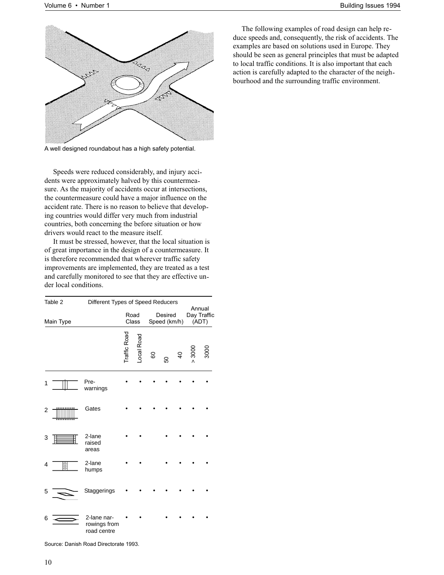The following examples of road design can help reduce speeds and, consequently, the risk of accidents. The examples are based on solutions used in Europe. They should be seen as general principles that must be adapted to local traffic conditions. It is also important that each action is carefully adapted to the character of the neighbourhood and the surrounding traffic environment.



*A well designed roundabout has a high safety potential.*

Speeds were reduced considerably, and injury accidents were approximately halved by this countermeasure. As the majority of accidents occur at intersections, the countermeasure could have a major influence on the accident rate. There is no reason to believe that developing countries would differ very much from industrial countries, both concerning the before situation or how drivers would react to the measure itself.

It must be stressed, however, that the local situation is of great importance in the design of a countermeasure. It is therefore recommended that wherever traffic safety improvements are implemented, they are treated as a test and carefully monitored to see that they are effective under local conditions.

| Table 2   |  | Different Types of Speed Reducers<br>Annual |              |               |    |   |                         |      |                      |
|-----------|--|---------------------------------------------|--------------|---------------|----|---|-------------------------|------|----------------------|
| Main Type |  |                                             |              | Road<br>Class |    |   | Desired<br>Speed (km/h) |      | Day Traffic<br>(ADT) |
|           |  |                                             | Traffic Road | ocal Road     | 60 | 8 | $\overline{a}$          | 3000 | 3000                 |
| 1         |  | Pre-<br>warnings                            |              |               |    |   |                         |      |                      |
| 2         |  | Gates                                       |              |               |    |   |                         |      |                      |
| 3         |  | 2-lane<br>raised<br>areas                   |              |               |    |   |                         |      |                      |
| 4         |  | 2-lane<br>humps                             |              |               |    |   |                         |      |                      |
| 5         |  | Staggerings                                 |              |               |    |   |                         |      |                      |
| 6         |  | 2-lane nar-<br>rowings from<br>road centre  |              |               |    |   |                         |      |                      |

*Source: Danish Road Directorate 1993.*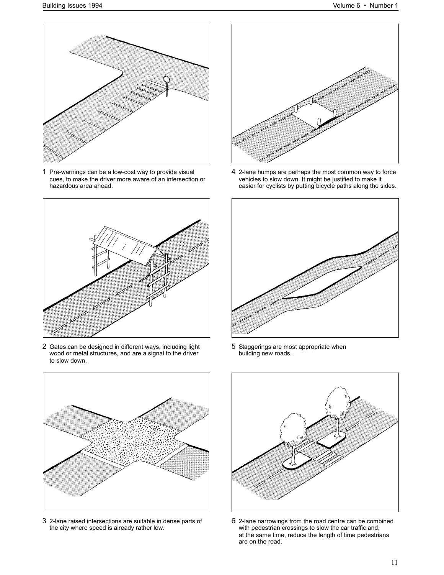

*1 Pre-warnings can be a low-cost way to provide visual cues, to make the driver more aware of an intersection or hazardous area ahead.*



*2 Gates can be designed in different ways, including light wood or metal structures, and are a signal to the driver to slow down.*



*3 2-lane raised intersections are suitable in dense parts of the city where speed is already rather low.*



*4 2-lane humps are perhaps the most common way to force vehicles to slow down. It might be justified to make it easier for cyclists by putting bicycle paths along the sides.*



*5 Staggerings are most appropriate when building new roads.*



*6 2-lane narrowings from the road centre can be combined with pedestrian crossings to slow the car traffic and, at the same time, reduce the length of time pedestrians are on the road.*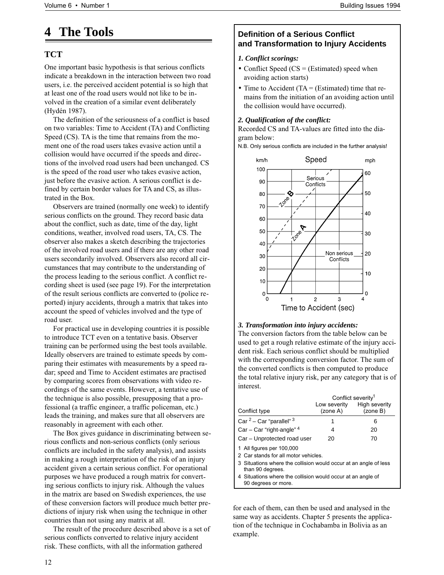## **4 The Tools**

## **TCT**

One important basic hypothesis is that serious conflicts indicate a breakdown in the interaction between two road users, i.e. the perceived accident potential is so high that at least one of the road users would not like to be involved in the creation of a similar event deliberately (Hydén 1987).

The definition of the seriousness of a conflict is based on two variables: Time to Accident (TA) and Conflicting Speed (CS). TA is the time that remains from the moment one of the road users takes evasive action until a collision would have occurred if the speeds and directions of the involved road users had been unchanged. CS is the speed of the road user who takes evasive action, just before the evasive action. A serious conflict is defined by certain border values for TA and CS, as illustrated in the Box.

Observers are trained (normally one week) to identify serious conflicts on the ground. They record basic data about the conflict, such as date, time of the day, light conditions, weather, involved road users, TA, CS. The observer also makes a sketch describing the trajectories of the involved road users and if there are any other road users secondarily involved. Observers also record all circumstances that may contribute to the understanding of the process leading to the serious conflict. A conflict recording sheet is used (see page 19). For the interpretation of the result serious conflicts are converted to (police reported) injury accidents, through a matrix that takes into account the speed of vehicles involved and the type of road user.

For practical use in developing countries it is possible to introduce TCT even on a tentative basis. Observer training can be performed using the best tools available. Ideally observers are trained to estimate speeds by comparing their estimates with measurements by a speed radar; speed and Time to Accident estimates are practised by comparing scores from observations with video recordings of the same events. However, a tentative use of the technique is also possible, presupposing that a professional (a traffic engineer, a traffic policeman, etc.) leads the training, and makes sure that all observers are reasonably in agreement with each other.

The Box gives guidance in discriminating between serious conflicts and non-serious conflicts (only serious conflicts are included in the safety analysis), and assists in making a rough interpretation of the risk of an injury accident given a certain serious conflict. For operational purposes we have produced a rough matrix for converting serious conflicts to injury risk. Although the values in the matrix are based on Swedish experiences, the use of these conversion factors will produce much better predictions of injury risk when using the technique in other countries than not using any matrix at all.

The result of the procedure described above is a set of serious conflicts converted to relative injury accident risk. These conflicts, with all the information gathered

## **Definition of a Serious Conflict and Transformation to Injury Accidents**

## *1. Conflict scorings:*

- Conflict Speed (CS = (Estimated) speed when avoiding action starts)
- Time to Accident (TA = (Estimated) time that remains from the initiation of an avoiding action until the collision would have occurred).

### *2. Qualification of the conflict:*

Recorded CS and TA-values are fitted into the diagram below:

*N.B. Only serious conflicts are included in the further analysis!*



### *3. Transformation into injury accidents:*

The conversion factors from the table below can be used to get a rough relative estimate of the injury accident risk. Each serious conflict should be multiplied with the corresponding conversion factor. The sum of the converted conflicts is then computed to produce the total relative injury risk, per any category that is of interest.

|                                                                                      | Conflict severity <sup>1</sup> |                           |  |  |  |  |
|--------------------------------------------------------------------------------------|--------------------------------|---------------------------|--|--|--|--|
| Conflict type                                                                        | Low severity<br>(zone A)       | High severity<br>(zone B) |  |  |  |  |
| Car $2$ – Car "parallel" $3$                                                         | 1                              | 6                         |  |  |  |  |
| $Car - Car$ "right-angle" $4$                                                        | 4                              | 20                        |  |  |  |  |
| Car - Unprotected road user                                                          | 20                             | 70                        |  |  |  |  |
| 1 All figures per 100,000<br>2 Car stands for all motor vehicles.                    |                                |                           |  |  |  |  |
| 3 Situations where the collision would occur at an angle of less<br>than 90 degrees. |                                |                           |  |  |  |  |

*4 Situations where the collision would occur at an angle of*

*90 degrees or more.*

for each of them, can then be used and analysed in the same way as accidents. Chapter 5 presents the application of the technique in Cochabamba in Bolivia as an example.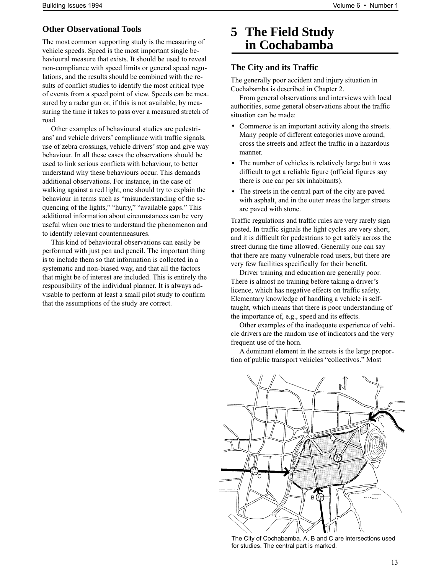## **Other Observational Tools**

The most common supporting study is the measuring of vehicle speeds. Speed is the most important single behavioural measure that exists. It should be used to reveal non-compliance with speed limits or general speed regulations, and the results should be combined with the results of conflict studies to identify the most critical type of events from a speed point of view. Speeds can be measured by a radar gun or, if this is not available, by measuring the time it takes to pass over a measured stretch of road.

Other examples of behavioural studies are pedestrians' and vehicle drivers' compliance with traffic signals, use of zebra crossings, vehicle drivers' stop and give way behaviour. In all these cases the observations should be used to link serious conflicts with behaviour, to better understand why these behaviours occur. This demands additional observations. For instance, in the case of walking against a red light, one should try to explain the behaviour in terms such as "misunderstanding of the sequencing of the lights," "hurry," "available gaps." This additional information about circumstances can be very useful when one tries to understand the phenomenon and to identify relevant countermeasures.

This kind of behavioural observations can easily be performed with just pen and pencil. The important thing is to include them so that information is collected in a systematic and non-biased way, and that all the factors that might be of interest are included. This is entirely the responsibility of the individual planner. It is always advisable to perform at least a small pilot study to confirm that the assumptions of the study are correct.

## **5 The Field Study in Cochabamba**

## **The City and its Traffic**

The generally poor accident and injury situation in Cochabamba is described in Chapter 2.

From general observations and interviews with local authorities, some general observations about the traffic situation can be made:

- Commerce is an important activity along the streets. Many people of different categories move around, cross the streets and affect the traffic in a hazardous manner.
- The number of vehicles is relatively large but it was difficult to get a reliable figure (official figures say there is one car per six inhabitants).
- The streets in the central part of the city are paved with asphalt, and in the outer areas the larger streets are paved with stone.

Traffic regulations and traffic rules are very rarely sign posted. In traffic signals the light cycles are very short, and it is difficult for pedestrians to get safely across the street during the time allowed. Generally one can say that there are many vulnerable road users, but there are very few facilities specifically for their benefit.

Driver training and education are generally poor. There is almost no training before taking a driver's licence, which has negative effects on traffic safety. Elementary knowledge of handling a vehicle is selftaught, which means that there is poor understanding of the importance of, e.g., speed and its effects.

Other examples of the inadequate experience of vehicle drivers are the random use of indicators and the very frequent use of the horn.

A dominant element in the streets is the large proportion of public transport vehicles "collectivos." Most



*The City of Cochabamba. A, B and C are intersections used for studies. The central part is marked.*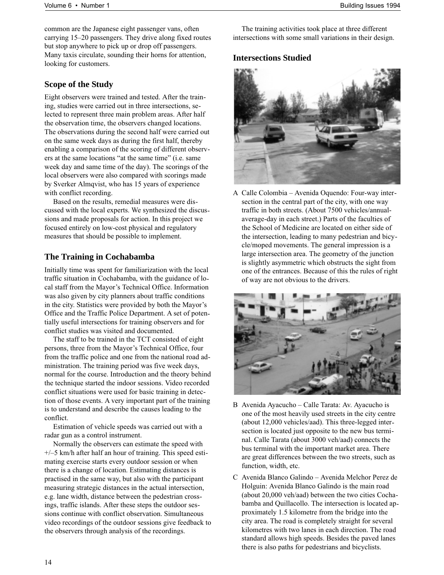common are the Japanese eight passenger vans, often carrying 15–20 passengers. They drive along fixed routes but stop anywhere to pick up or drop off passengers. Many taxis circulate, sounding their horns for attention, looking for customers.

### **Scope of the Study**

Eight observers were trained and tested. After the training, studies were carried out in three intersections, selected to represent three main problem areas. After half the observation time, the observers changed locations. The observations during the second half were carried out on the same week days as during the first half, thereby enabling a comparison of the scoring of different observers at the same locations "at the same time" (i.e. same week day and same time of the day). The scorings of the local observers were also compared with scorings made by Sverker Almqvist, who has 15 years of experience with conflict recording.

Based on the results, remedial measures were discussed with the local experts. We synthesized the discussions and made proposals for action. In this project we focused entirely on low-cost physical and regulatory measures that should be possible to implement.

## **The Training in Cochabamba**

Initially time was spent for familiarization with the local traffic situation in Cochabamba, with the guidance of local staff from the Mayor's Technical Office. Information was also given by city planners about traffic conditions in the city. Statistics were provided by both the Mayor's Office and the Traffic Police Department. A set of potentially useful intersections for training observers and for conflict studies was visited and documented.

The staff to be trained in the TCT consisted of eight persons, three from the Mayor's Technical Office, four from the traffic police and one from the national road administration. The training period was five week days, normal for the course. Introduction and the theory behind the technique started the indoor sessions. Video recorded conflict situations were used for basic training in detection of those events. A very important part of the training is to understand and describe the causes leading to the conflict.

Estimation of vehicle speeds was carried out with a radar gun as a control instrument.

Normally the observers can estimate the speed with +/–5 km/h after half an hour of training. This speed estimating exercise starts every outdoor session or when there is a change of location. Estimating distances is practised in the same way, but also with the participant measuring strategic distances in the actual intersection, e.g. lane width, distance between the pedestrian crossings, traffic islands. After these steps the outdoor sessions continue with conflict observation. Simultaneous video recordings of the outdoor sessions give feedback to the observers through analysis of the recordings.

The training activities took place at three different intersections with some small variations in their design.

## **Intersections Studied**



A Calle Colombia – Avenida Oquendo: Four-way intersection in the central part of the city, with one way traffic in both streets. (About 7500 vehicles/annualaverage-day in each street.) Parts of the faculties of the School of Medicine are located on either side of the intersection, leading to many pedestrian and bicycle/moped movements. The general impression is a large intersection area. The geometry of the junction is slightly asymmetric which obstructs the sight from one of the entrances. Because of this the rules of right of way are not obvious to the drivers.



- B Avenida Ayacucho Calle Tarata: Av. Ayacucho is one of the most heavily used streets in the city centre (about 12,000 vehicles/aad). This three-legged intersection is located just opposite to the new bus terminal. Calle Tarata (about 3000 veh/aad) connects the bus terminal with the important market area. There are great differences between the two streets, such as function, width, etc.
- C Avenida Blanco Galindo Avenida Melchor Perez de Holguin: Avenida Blanco Galindo is the main road (about 20,000 veh/aad) between the two cities Cochabamba and Quillacollo. The intersection is located approximately 1.5 kilometre from the bridge into the city area. The road is completely straight for several kilometres with two lanes in each direction. The road standard allows high speeds. Besides the paved lanes there is also paths for pedestrians and bicyclists.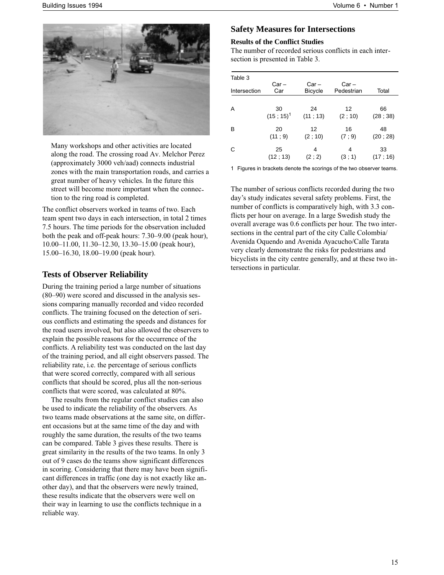

Many workshops and other activities are located along the road. The crossing road Av. Melchor Perez (approximately 3000 veh/aad) connects industrial zones with the main transportation roads, and carries a great number of heavy vehicles. In the future this street will become more important when the connection to the ring road is completed.

The conflict observers worked in teams of two. Each team spent two days in each intersection, in total 2 times 7.5 hours. The time periods for the observation included both the peak and off-peak hours: 7.30–9.00 (peak hour), 10.00–11.00, 11.30–12.30, 13.30–15.00 (peak hour), 15.00–16.30, 18.00–19.00 (peak hour).

### **Tests of Observer Reliability**

During the training period a large number of situations (80–90) were scored and discussed in the analysis sessions comparing manually recorded and video recorded conflicts. The training focused on the detection of serious conflicts and estimating the speeds and distances for the road users involved, but also allowed the observers to explain the possible reasons for the occurrence of the conflicts. A reliability test was conducted on the last day of the training period, and all eight observers passed. The reliability rate, i.e. the percentage of serious conflicts that were scored correctly, compared with all serious conflicts that should be scored, plus all the non-serious conflicts that were scored, was calculated at 80%.

The results from the regular conflict studies can also be used to indicate the reliability of the observers. As two teams made observations at the same site, on different occasions but at the same time of the day and with roughly the same duration, the results of the two teams can be compared. Table 3 gives these results. There is great similarity in the results of the two teams. In only 3 out of 9 cases do the teams show significant differences in scoring. Considering that there may have been significant differences in traffic (one day is not exactly like another day), and that the observers were newly trained, these results indicate that the observers were well on their way in learning to use the conflicts technique in a reliable way.

## **Safety Measures for Intersections**

#### **Results of the Conflict Studies**

The number of recorded serious conflicts in each intersection is presented in Table 3.

| Table 3      |              |                         |                       |          |
|--------------|--------------|-------------------------|-----------------------|----------|
| Intersection | Car –<br>Car | Car –<br><b>Bicycle</b> | $Car -$<br>Pedestrian | Total    |
|              |              |                         |                       |          |
| A            | 30           | 24                      | 12                    | 66       |
|              | $(15; 15)^1$ | (11; 13)                | (2; 10)               | (28; 38) |
| B            | 20           | 12                      | 16                    | 48       |
|              | (11; 9)      | (2; 10)                 | (7; 9)                | (20; 28) |
| C            | 25           | 4                       | 4                     | 33       |
|              | (12; 13)     | (2; 2)                  | (3; 1)                | (17:16)  |

*1 Figures in brackets denote the scorings of the two observer teams.*

The number of serious conflicts recorded during the two day's study indicates several safety problems. First, the number of conflicts is comparatively high, with 3.3 conflicts per hour on average. In a large Swedish study the overall average was 0.6 conflicts per hour. The two intersections in the central part of the city Calle Colombia/ Avenida Oquendo and Avenida Ayacucho/Calle Tarata very clearly demonstrate the risks for pedestrians and bicyclists in the city centre generally, and at these two intersections in particular.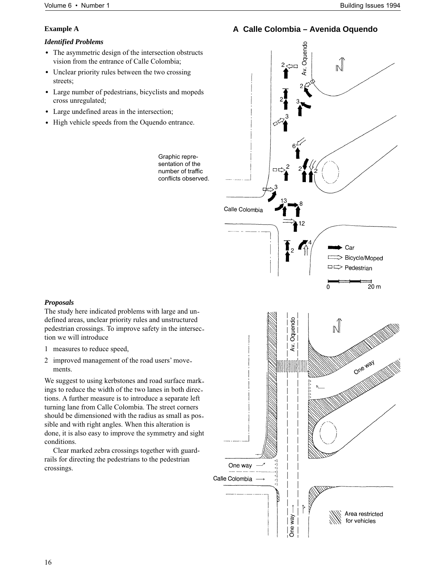## **Example A**

## *Identified Problems*

- The asymmetric design of the intersection obstructs vision from the entrance of Calle Colombia;
- Unclear priority rules between the two crossing streets;
- Large number of pedestrians, bicyclists and mopeds cross unregulated;
- Large undefined areas in the intersection;
- High vehicle speeds from the Oquendo entrance.

*Graphic representation of the number of traffic conflicts observed.*

Av. Oquendo  $\mathbb{N}$ םכ  $\Box$ Calle Colombia Car  $\overline{c}$ Bicycle/Moped pedestrian  $\overline{2}0 \text{ m}$ Oquendo  $\sqrt{2}$ 

**A Calle Colombia – Avenida Oquendo**

### *Proposals*

The study here indicated problems with large and undefined areas, unclear priority rules and unstructured pedestrian crossings. To improve safety in the intersection we will introduce

- 1 measures to reduce speed,
- 2 improved management of the road users' movements.

We suggest to using kerbstones and road surface markings to reduce the width of the two lanes in both directions. A further measure is to introduce a separate left turning lane from Calle Colombia. The street corners should be dimensioned with the radius as small as possible and with right angles. When this alteration is done, it is also easy to improve the symmetry and sight conditions.

Clear marked zebra crossings together with guardrails for directing the pedestrians to the pedestrian crossings.

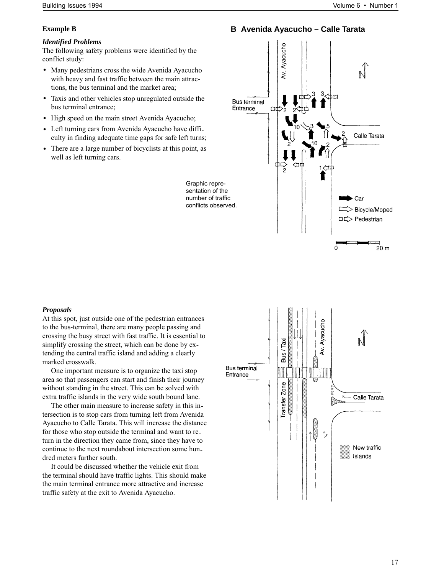## **Example B**

### *Identified Problems*

The following safety problems were identified by the conflict study:

- Many pedestrians cross the wide Avenida Ayacucho with heavy and fast traffic between the main attractions, the bus terminal and the market area;
- Taxis and other vehicles stop unregulated outside the bus terminal entrance;
- High speed on the main street Avenida Ayacucho;
- Left turning cars from Avenida Ayacucho have difficulty in finding adequate time gaps for safe left turns;
- There are a large number of bicyclists at this point, as well as left turning cars.





At this spot, just outside one of the pedestrian entrances to the bus-terminal, there are many people passing and crossing the busy street with fast traffic. It is essential to simplify crossing the street, which can be done by extending the central traffic island and adding a clearly marked crosswalk.

One important measure is to organize the taxi stop area so that passengers can start and finish their journey without standing in the street. This can be solved with extra traffic islands in the very wide south bound lane.

The other main measure to increase safety in this intersection is to stop cars from turning left from Avenida Ayacucho to Calle Tarata. This will increase the distance for those who stop outside the terminal and want to return in the direction they came from, since they have to continue to the next roundabout intersection some hundred meters further south.

It could be discussed whether the vehicle exit from the terminal should have traffic lights. This should make the main terminal entrance more attractive and increase traffic safety at the exit to Avenida Ayacucho.

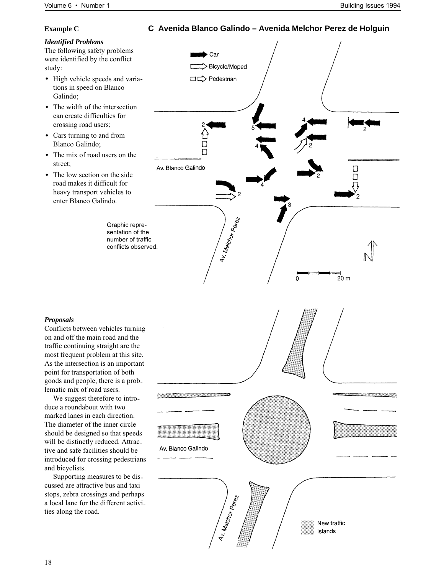## **C Avenida Blanco Galindo – Avenida Melchor Perez de Holguin**

## **Example C**

## *Identified Problems*

The following safety problems were identified by the conflict study:

- High vehicle speeds and variations in speed on Blanco Galindo;
- The width of the intersection can create difficulties for crossing road users;
- Cars turning to and from Blanco Galindo;
- The mix of road users on the street;
- The low section on the side road makes it difficult for heavy transport vehicles to enter Blanco Galindo.

*Graphic representation of the number of traffic conflicts observed.*



### *Proposals*

Conflicts between vehicles turning on and off the main road and the traffic continuing straight are the most frequent problem at this site. As the intersection is an important point for transportation of both goods and people, there is a problematic mix of road users.

We suggest therefore to introduce a roundabout with two marked lanes in each direction. The diameter of the inner circle should be designed so that speeds will be distinctly reduced. Attractive and safe facilities should be introduced for crossing pedestrians and bicyclists.

Supporting measures to be discussed are attractive bus and taxi stops, zebra crossings and perhaps a local lane for the different activities along the road.

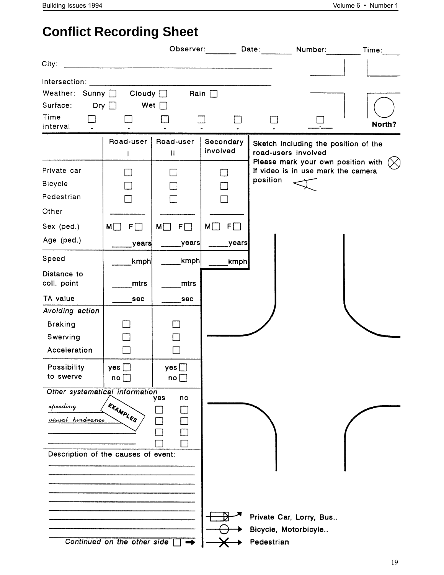## **Conflict Recording Sheet**

|                                                                                                       |                                      |                                    | Observer:                       | Date:      | Number:                                                                  | Time:  |  |  |
|-------------------------------------------------------------------------------------------------------|--------------------------------------|------------------------------------|---------------------------------|------------|--------------------------------------------------------------------------|--------|--|--|
| City:                                                                                                 |                                      |                                    |                                 |            |                                                                          |        |  |  |
| Intersection:<br>Weather: Sunny $\Box$ Cloudy $\Box$<br>Surface:<br>Time<br>interval                  | Dry $\Box$<br>Wet                    |                                    | Rain $\Box$                     |            |                                                                          | North? |  |  |
|                                                                                                       | Road-user<br>L                       | Road-user<br>$\mathbf{H}$          | Secondary<br>involved           |            | Sketch including the position of the<br>road-users involved              |        |  |  |
| Private car<br><b>Bicycle</b><br>Pedestrian<br>Other                                                  |                                      |                                    |                                 | position   | Please mark your own position with<br>If video is in use mark the camera |        |  |  |
| Sex (ped.)<br>Age (ped.)                                                                              | $M\Box$<br>$F\Box$<br>years          | $M \Box$<br>$F\Box$<br>_years      | $M \Box$<br>$F$ $\Box$<br>years |            |                                                                          |        |  |  |
| Speed<br>Distance to<br>coll. point                                                                   | kmph<br>mtrs                         | kmph<br>mtrs                       | kmph                            |            |                                                                          |        |  |  |
| TA value<br>Avoiding action<br><b>Braking</b><br>Swerving                                             | sec                                  | sec<br>$\mathcal{L}_{\mathcal{A}}$ |                                 |            |                                                                          |        |  |  |
| Acceleration<br>Possibility<br>to swerve                                                              | yes $\square$<br>$\mathsf{no}\,\Box$ | yes<br>$\mathsf{no}$ $\Box$        |                                 |            |                                                                          |        |  |  |
| Other systematical information<br>speeding<br>visual hindrance<br>Description of the causes of event: | EXAMPLES                             | yes<br>no                          |                                 |            |                                                                          |        |  |  |
|                                                                                                       | Continued on the other side          |                                    |                                 | Pedestrian | Private Car, Lorry, Bus<br>Bicycle, Motorbicyle                          |        |  |  |